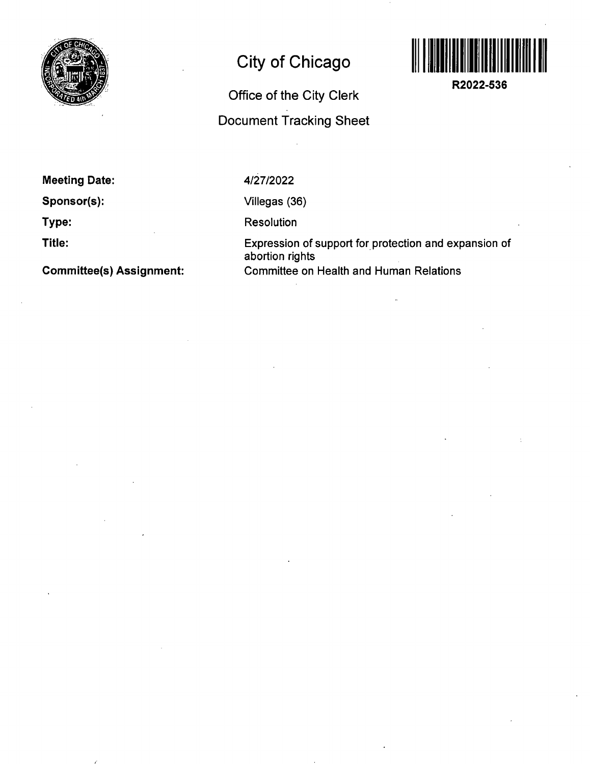

## **City of Chicago**

## **Office of the City Clerk Document Tracking Sheet**



**R2022-536** 

**Meeting Date:** 

**Sponsor(s):** 

**Type:** 

**Title:** 

**Committee(s) Assignment:** 

4/27/2022

Viliegas (36)

Resolution

Expression of support for protection and expansion of abortion rights Committee on Health and Human Relations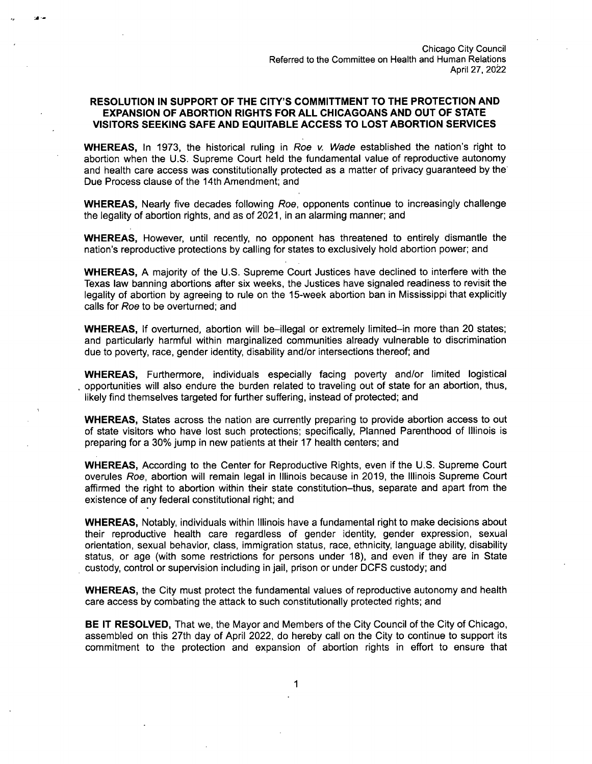## **RESOLUTION IN SUPPORT OF THE CITY'S COMMITTMENT TO THE PROTECTION AND EXPANSION OF ABORTION RIGHTS FOR ALL CHICAGOANS AND OUT OF STATE VISITORS SEEKING SAFE AND EQUITABLE ACCESS TO LOST ABORTION SERVICES**

WHEREAS, In 1973, the historical ruling in Roe v. Wade established the nation's right to abortion when the U.S. Supreme Court held the fundamental value of reproductive autonomy and health care access was constitutionally protected as a matter of privacy guaranteed by the Due Process clause of the 14th Amendment; and

WHEREAS, Nearly five decades following Roe, opponents continue to increasingly challenge the legality of abortion rights, and as of 2021, in an alarming manner; and

WHEREAS, However, until recently, no opponent has threatened to entirely dismantle the nation's reproductive protections by calling for states to exclusively hold abortion power; and

WHEREAS, A majority of the U.S. Supreme Court Justices have declined to interfere with the Texas law banning abortions after six weeks, the Justices have signaled readiness to revisit the legality of abortion by agreeing to rule on the 15-week abortion ban in Mississippi that explicitly calls for Roe to be overturned; and

WHEREAS, If overturned, abortion will be-illegal or extremely limited-in more than 20 states; and particularly harmful within marginalized communities already vulnerable to discrimination due to poverty, race, gender identity, disability and/or intersections thereof; and

WHEREAS, Furthermore, individuals especially facing poverty and/or limited logistical opportunities will also endure the burden related to traveling out of state for an abortion, thus, likely find themselves targeted for further suffering, instead of protected; and

WHEREAS, States across the nation are currently preparing to provide abortion access to out of state visitors who have lost such protections; specifically. Planned Parenthood of Illinois is preparing for a 30% jump in new patients at their 17 health centers; and

WHEREAS, According to the Center for Reproductive Rights, even if the U.S. Supreme Court overules Roe, abortion will remain legal in Illinois because in 2019, the Illinois Supreme Court affirmed the right to abortion within their state constitution-thus, separate and apart from the existence of any federal constitutional right; and

WHEREAS, Notably, individuals within Illinois have a fundamental right to make decisions about their reproductive health care regardless of gender identity, gender expression, sexual orientation, sexual behavior, class, immigration status, race, ethnicity, language ability, disability status, or age (with some restrictions for persons under 18), and even if they are in State custody, control or supervision including in jail, prison or under DCFS custody; and

WHEREAS, the City must protect the fundamental values of reproductive autonomy and health care access by combating the attack to such constitutionally protected rights; and

BE IT RESOLVED, That we, the Mayor and Members of the City Council of the City of Chicago, assembled on this 27th day of April 2022, do hereby call on the City to continue to support its commitment to the protection and expansion of abortion rights in effort to ensure that

 $\mathbf 1$